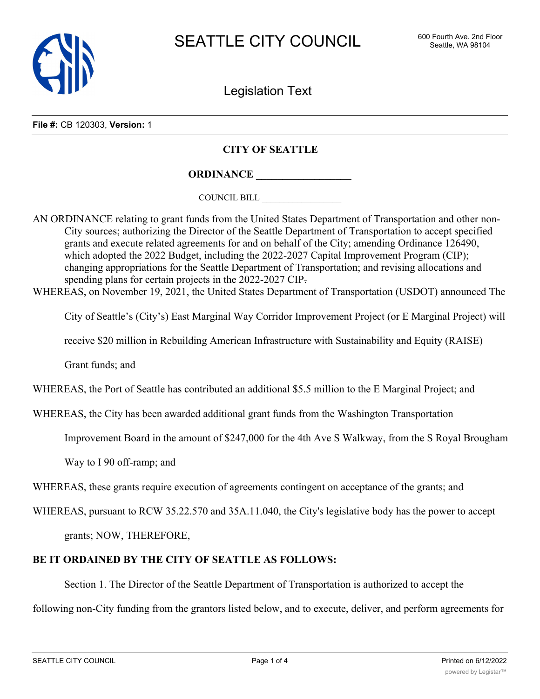

Legislation Text

**File #:** CB 120303, **Version:** 1

## **CITY OF SEATTLE**

**ORDINANCE \_\_\_\_\_\_\_\_\_\_\_\_\_\_\_\_\_\_**

COUNCIL BILL \_\_\_\_\_\_\_\_\_\_\_\_\_\_\_\_\_\_

AN ORDINANCE relating to grant funds from the United States Department of Transportation and other non-City sources; authorizing the Director of the Seattle Department of Transportation to accept specified grants and execute related agreements for and on behalf of the City; amending Ordinance 126490, which adopted the 2022 Budget, including the 2022-2027 Capital Improvement Program (CIP); changing appropriations for the Seattle Department of Transportation; and revising allocations and spending plans for certain projects in the 2022-2027 CIP.

WHEREAS, on November 19, 2021, the United States Department of Transportation (USDOT) announced The

City of Seattle's (City's) East Marginal Way Corridor Improvement Project (or E Marginal Project) will

receive \$20 million in Rebuilding American Infrastructure with Sustainability and Equity (RAISE)

Grant funds; and

WHEREAS, the Port of Seattle has contributed an additional \$5.5 million to the E Marginal Project; and

WHEREAS, the City has been awarded additional grant funds from the Washington Transportation

Improvement Board in the amount of \$247,000 for the 4th Ave S Walkway, from the S Royal Brougham

Way to I 90 off-ramp; and

WHEREAS, these grants require execution of agreements contingent on acceptance of the grants; and

WHEREAS, pursuant to RCW 35.22.570 and 35A.11.040, the City's legislative body has the power to accept

grants; NOW, THEREFORE,

## **BE IT ORDAINED BY THE CITY OF SEATTLE AS FOLLOWS:**

Section 1. The Director of the Seattle Department of Transportation is authorized to accept the

following non-City funding from the grantors listed below, and to execute, deliver, and perform agreements for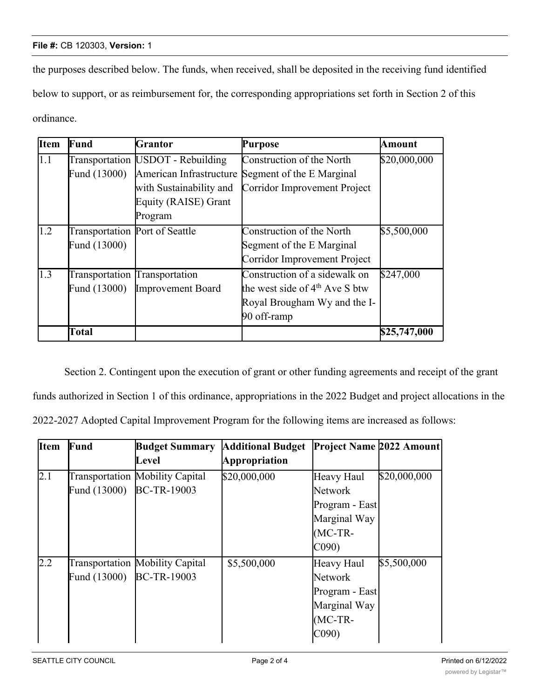## **File #:** CB 120303, **Version:** 1

the purposes described below. The funds, when received, shall be deposited in the receiving fund identified below to support, or as reimbursement for, the corresponding appropriations set forth in Section 2 of this ordinance.

| <b>Item</b> | Fund                           | Grantor                            | Purpose                          | Amount       |
|-------------|--------------------------------|------------------------------------|----------------------------------|--------------|
| 1.1         |                                | Transportation [USDOT - Rebuilding | Construction of the North        | \$20,000,000 |
|             | Fund (13000)                   | American Infrastructure            | Segment of the E Marginal        |              |
|             |                                | with Sustainability and            | Corridor Improvement Project     |              |
|             |                                | Equity (RAISE) Grant               |                                  |              |
|             |                                | Program                            |                                  |              |
| 1.2         | Transportation Port of Seattle |                                    | Construction of the North        | \$5,500,000  |
|             | Fund (13000)                   |                                    | Segment of the E Marginal        |              |
|             |                                |                                    | Corridor Improvement Project     |              |
| 1.3         | Transportation Transportation  |                                    | Construction of a sidewalk on    | \$247,000    |
|             | Fund (13000)                   | Improvement Board                  | the west side of $4th$ Ave S btw |              |
|             |                                |                                    | Royal Brougham Wy and the I-     |              |
|             |                                |                                    | 90 off-ramp                      |              |
|             | Total                          |                                    |                                  | \$25,747,000 |

Section 2. Contingent upon the execution of grant or other funding agreements and receipt of the grant funds authorized in Section 1 of this ordinance, appropriations in the 2022 Budget and project allocations in the 2022-2027 Adopted Capital Improvement Program for the following items are increased as follows:

| <b>Item</b>      | <b>Fund</b>              | <b>Budget Summary</b>                  | <b>Additional Budget</b> | <b>Project Name 2022 Amount</b> |              |
|------------------|--------------------------|----------------------------------------|--------------------------|---------------------------------|--------------|
|                  |                          | Level                                  | Appropriation            |                                 |              |
| $\overline{2.1}$ |                          | <b>Transportation Mobility Capital</b> | \$20,000,000             | Heavy Haul                      | \$20,000,000 |
|                  | Fund (13000) BC-TR-19003 |                                        |                          | Network                         |              |
|                  |                          |                                        |                          | Program - East                  |              |
|                  |                          |                                        |                          | Marginal Way                    |              |
|                  |                          |                                        |                          | $(MC-TR-$                       |              |
|                  |                          |                                        |                          | CO90                            |              |
| $2.2^{\circ}$    |                          | <b>Transportation Mobility Capital</b> | \$5,500,000              | Heavy Haul                      | \$5,500,000  |
|                  | Fund (13000)             | <b>BC-TR-19003</b>                     |                          | Network                         |              |
|                  |                          |                                        |                          | Program - East                  |              |
|                  |                          |                                        |                          | Marginal Way                    |              |
|                  |                          |                                        |                          | $(MC-TR-$                       |              |
|                  |                          |                                        |                          | C <sub>090</sub>                |              |

2.3 Transportation

Mobility Capital

<u>\*247,000 Pedestrian Pedestrian Pedestrian Pedestrian Pedestrian Pedestrian Pedestrian Pedestrian Pedestrian Pe</u>

\$247,000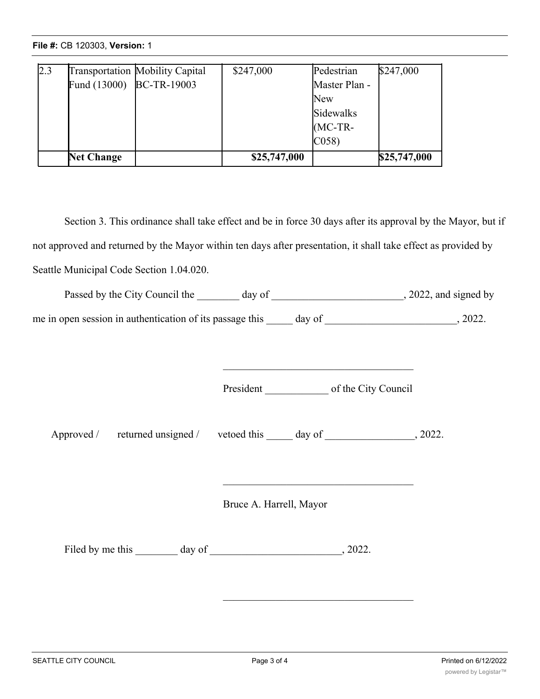**File #:** CB 120303, **Version:** 1

| 2.3 |                          | Transportation Mobility Capital | \$247,000    | Pedestrian    | \$247,000    |
|-----|--------------------------|---------------------------------|--------------|---------------|--------------|
|     | Fund (13000) BC-TR-19003 |                                 |              | Master Plan - |              |
|     |                          |                                 |              | New           |              |
|     |                          |                                 |              | Sidewalks     |              |
|     |                          |                                 |              | $MC-TR-$      |              |
|     |                          |                                 |              | C(058)        |              |
|     | <b>Net Change</b>        |                                 | \$25,747,000 |               | \$25,747,000 |

Section 3. This ordinance shall take effect and be in force 30 days after its approval by the Mayor, but if not approved and returned by the Mayor within ten days after presentation, it shall take effect as provided by Seattle Municipal Code Section 1.04.020.

(MC-TR-

| Passed by the City Council the 100 day of 100 day of 2022, and signed by             |                         |                                                                                           |  |
|--------------------------------------------------------------------------------------|-------------------------|-------------------------------------------------------------------------------------------|--|
|                                                                                      |                         |                                                                                           |  |
|                                                                                      |                         |                                                                                           |  |
| Approved / returned unsigned / vetoed this _____ day of _____________________, 2022. |                         |                                                                                           |  |
|                                                                                      | Bruce A. Harrell, Mayor | the control of the control of the control of the control of the control of the control of |  |
|                                                                                      |                         |                                                                                           |  |